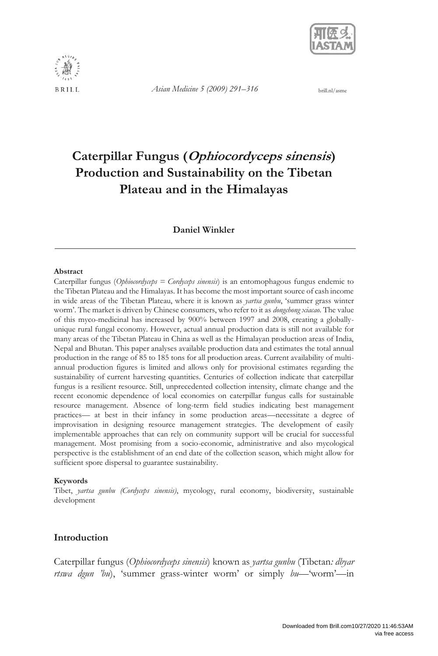

*Asian Medicine 5 (2009) 291–316* brill.nl/asme



# **Caterpillar Fungus (Ophiocordyceps sinensis) Production and Sustainability on the Tibetan Plateau and in the Himalayas**

#### **Daniel Winkler**

#### **Abstract**

Caterpillar fungus (*Ophiocordyceps = Cordyceps sinensis*) is an entomophagous fungus endemic to the Tibetan Plateau and the Himalayas. It has become the most important source of cash income in wide areas of the Tibetan Plateau, where it is known as *yartsa gunbu*, 'summer grass winter worm'. The market is driven by Chinese consumers, who refer to it as *dongchong xiacao*. The value of this myco-medicinal has increased by 900% between 1997 and 2008, creating a globallyunique rural fungal economy. However, actual annual production data is still not available for many areas of the Tibetan Plateau in China as well as the Himalayan production areas of India, Nepal and Bhutan. This paper analyses available production data and estimates the total annual production in the range of 85 to 185 tons for all production areas. Current availability of multiannual production figures is limited and allows only for provisional estimates regarding the sustainability of current harvesting quantities. Centuries of collection indicate that caterpillar fungus is a resilient resource. Still, unprecedented collection intensity, climate change and the recent economic dependence of local economies on caterpillar fungus calls for sustainable resource management. Absence of long-term field studies indicating best management practices— at best in their infancy in some production areas—necessitate a degree of improvisation in designing resource management strategies. The development of easily implementable approaches that can rely on community support will be crucial for successful management. Most promising from a socio-economic, administrative and also mycological perspective is the establishment of an end date of the collection season, which might allow for sufficient spore dispersal to guarantee sustainability.

#### **Keywords**

Tibet, *yartsa gunbu (Cordyceps sinensis)*, mycology, rural economy, biodiversity, sustainable development

#### **Introduction**

Caterpillar fungus (*Ophiocordyceps sinensis*) known as *yartsa gunbu* (Tibetan*: dbyar rtswa dgun 'bu*), 'summer grass-winter worm' or simply *bu*—'worm'—in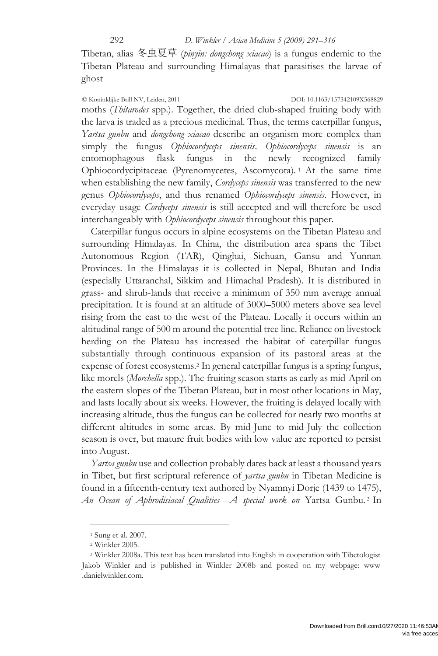#### © Koninklijke Brill NV, Leiden, 2011 DOI: 10.1163/157342109X568829

moths (*Thitarodes* spp.). Together, the dried club-shaped fruiting body with the larva is traded as a precious medicinal. Thus, the terms caterpillar fungus, *Yartsa gunbu* and *dongchong xiacao* describe an organism more complex than simply the fungus *Ophiocordyceps sinensis*. *Ophiocordyceps sinensis* is an entomophagous flask fungus in the newly recognized family Ophiocordycipitaceae (Pyrenomycetes, Ascomycota). <sup>1</sup> At the same time when establishing the new family, *Cordyceps sinensis* was transferred to the new genus *Ophiocordyceps*, and thus renamed *Ophiocordyceps sinensis*. However, in everyday usage *Cordyceps sinensis* is still accepted and will therefore be used interchangeably with *Ophiocordyceps sinensis* throughout this paper.

Caterpillar fungus occurs in alpine ecosystems on the Tibetan Plateau and surrounding Himalayas. In China, the distribution area spans the Tibet Autonomous Region (TAR), Qinghai, Sichuan, Gansu and Yunnan Provinces. In the Himalayas it is collected in Nepal, Bhutan and India (especially Uttaranchal, Sikkim and Himachal Pradesh). It is distributed in grass- and shrub-lands that receive a minimum of 350 mm average annual precipitation. It is found at an altitude of 3000–5000 meters above sea level rising from the east to the west of the Plateau. Locally it occurs within an altitudinal range of 500 m around the potential tree line. Reliance on livestock herding on the Plateau has increased the habitat of caterpillar fungus substantially through continuous expansion of its pastoral areas at the expense of forest ecosystems.<sup>2</sup> In general caterpillar fungus is a spring fungus, like morels (*Morchella* spp.). The fruiting season starts as early as mid-April on the eastern slopes of the Tibetan Plateau, but in most other locations in May, and lasts locally about six weeks. However, the fruiting is delayed locally with increasing altitude, thus the fungus can be collected for nearly two months at different altitudes in some areas. By mid-June to mid-July the collection season is over, but mature fruit bodies with low value are reported to persist into August.

*Yartsa gunbu* use and collection probably dates back at least a thousand years in Tibet, but first scriptural reference of *yartsa gunbu* in Tibetan Medicine is found in a fifteenth-century text authored by Nyamnyi Dorje (1439 to 1475), *An Ocean of Aphrodisiacal Qualities—A special work on* Yartsa Gunbu. <sup>3</sup> In

<sup>1</sup> Sung et al. 2007.

<sup>2</sup> Winkler 2005.

<sup>3</sup> Winkler 2008a. This text has been translated into English in cooperation with Tibetologist Jakob Winkler and is published in Winkler 2008b and posted on my webpage: www .danielwinkler.com.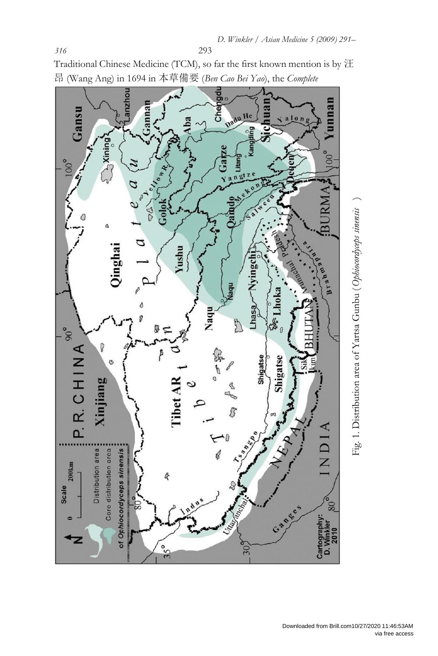

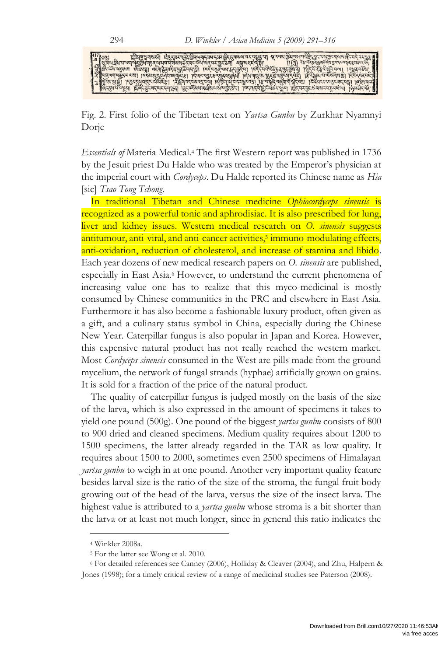

Fig. 2. First folio of the Tibetan text on *Yartsa Gunbu* by Zurkhar Nyamnyi Dorje

*Essentials of* Materia Medical. <sup>4</sup> The first Western report was published in 1736 by the Jesuit priest Du Halde who was treated by the Emperor's physician at the imperial court with *Cordyceps*. Du Halde reported its Chinese name as *Hia* [sic] *Tsao Tong Tchong.*

In traditional Tibetan and Chinese medicine *Ophiocordyceps sinensis* is recognized as a powerful tonic and aphrodisiac. It is also prescribed for lung, liver and kidney issues. Western medical research on *O. sinensis* suggests antitumour, anti-viral, and anti-cancer activities,<sup>5</sup> immuno-modulating effects, anti-oxidation, reduction of cholesterol, and increase of stamina and libido. Each year dozens of new medical research papers on *O. sinensis* are published, especially in East Asia.<sup>6</sup> However, to understand the current phenomena of increasing value one has to realize that this myco-medicinal is mostly consumed by Chinese communities in the PRC and elsewhere in East Asia. Furthermore it has also become a fashionable luxury product, often given as a gift, and a culinary status symbol in China, especially during the Chinese New Year. Caterpillar fungus is also popular in Japan and Korea. However, this expensive natural product has not really reached the western market. Most *Cordyceps sinensis* consumed in the West are pills made from the ground mycelium, the network of fungal strands (hyphae) artificially grown on grains. It is sold for a fraction of the price of the natural product.

The quality of caterpillar fungus is judged mostly on the basis of the size of the larva, which is also expressed in the amount of specimens it takes to yield one pound (500g). One pound of the biggest *yartsa gunbu* consists of 800 to 900 dried and cleaned specimens. Medium quality requires about 1200 to 1500 specimens, the latter already regarded in the TAR as low quality. It requires about 1500 to 2000, sometimes even 2500 specimens of Himalayan *yartsa gunbu* to weigh in at one pound. Another very important quality feature besides larval size is the ratio of the size of the stroma, the fungal fruit body growing out of the head of the larva, versus the size of the insect larva. The highest value is attributed to a *yartsa gunbu* whose stroma is a bit shorter than the larva or at least not much longer, since in general this ratio indicates the

<sup>4</sup> Winkler 2008a.

<sup>5</sup> For the latter see Wong et al. 2010.

<sup>6</sup> For detailed references see Canney (2006), Holliday & Cleaver (2004), and Zhu, Halpern & Jones (1998); for a timely critical review of a range of medicinal studies see Paterson (2008).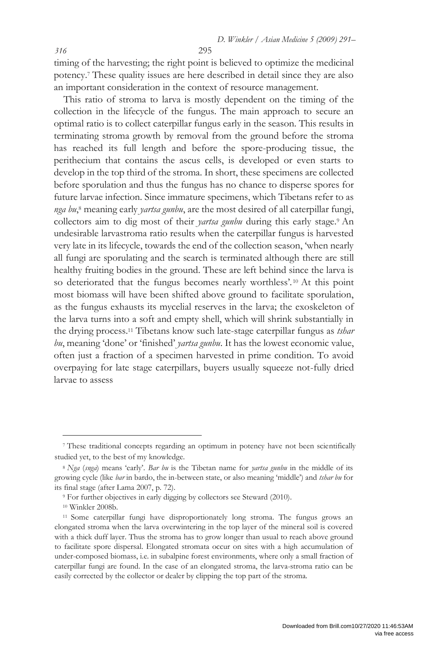timing of the harvesting; the right point is believed to optimize the medicinal potency.<sup>7</sup> These quality issues are here described in detail since they are also an important consideration in the context of resource management.

This ratio of stroma to larva is mostly dependent on the timing of the collection in the lifecycle of the fungus. The main approach to secure an optimal ratio is to collect caterpillar fungus early in the season. This results in terminating stroma growth by removal from the ground before the stroma has reached its full length and before the spore-producing tissue, the perithecium that contains the ascus cells, is developed or even starts to develop in the top third of the stroma. In short, these specimens are collected before sporulation and thus the fungus has no chance to disperse spores for future larvae infection. Since immature specimens, which Tibetans refer to as *nga bu*, <sup>8</sup> meaning early *yartsa gunbu*, are the most desired of all caterpillar fungi, collectors aim to dig most of their *yartsa gunbu* during this early stage.<sup>9</sup> An undesirable larvastroma ratio results when the caterpillar fungus is harvested very late in its lifecycle, towards the end of the collection season, 'when nearly all fungi are sporulating and the search is terminated although there are still healthy fruiting bodies in the ground. These are left behind since the larva is so deteriorated that the fungus becomes nearly worthless'.<sup>10</sup> At this point most biomass will have been shifted above ground to facilitate sporulation, as the fungus exhausts its mycelial reserves in the larva; the exoskeleton of the larva turns into a soft and empty shell, which will shrink substantially in the drying process.<sup>11</sup> Tibetans know such late-stage caterpillar fungus as *tshar bu*, meaning 'done' or 'finished' *yartsa gunbu*. It has the lowest economic value, often just a fraction of a specimen harvested in prime condition. To avoid overpaying for late stage caterpillars, buyers usually squeeze not-fully dried larvae to assess

<sup>7</sup> These traditional concepts regarding an optimum in potency have not been scientifically studied yet, to the best of my knowledge.

<sup>8</sup> *Nga* (*snga*) means 'early'. *Bar bu* is the Tibetan name for *yartsa gunbu* in the middle of its growing cycle (like *bar* in bardo, the in-between state, or also meaning 'middle') and *tshar bu* for its final stage (after Lama 2007, p. 72).

<sup>9</sup> For further objectives in early digging by collectors see Steward (2010).

<sup>10</sup> Winkler 2008b.

<sup>11</sup> Some caterpillar fungi have disproportionately long stroma. The fungus grows an elongated stroma when the larva overwintering in the top layer of the mineral soil is covered with a thick duff layer. Thus the stroma has to grow longer than usual to reach above ground to facilitate spore dispersal. Elongated stromata occur on sites with a high accumulation of under-composed biomass, i.e. in subalpine forest environments, where only a small fraction of caterpillar fungi are found. In the case of an elongated stroma, the larva-stroma ratio can be easily corrected by the collector or dealer by clipping the top part of the stroma.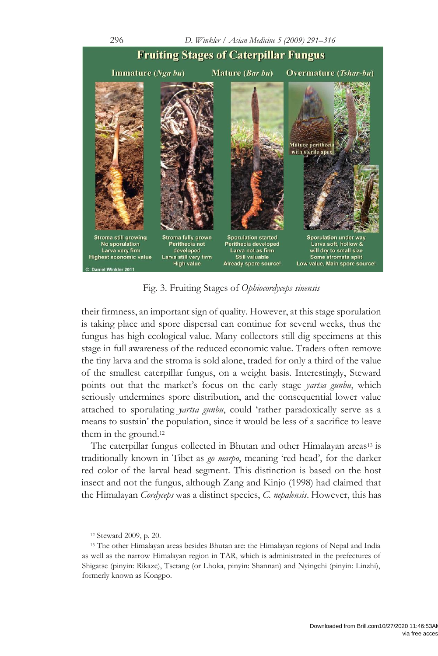

Fig. 3. Fruiting Stages of *Ophiocordyceps sinensis*

their firmness, an important sign of quality. However, at this stage sporulation is taking place and spore dispersal can continue for several weeks, thus the fungus has high ecological value. Many collectors still dig specimens at this stage in full awareness of the reduced economic value. Traders often remove the tiny larva and the stroma is sold alone, traded for only a third of the value of the smallest caterpillar fungus, on a weight basis. Interestingly, Steward points out that the market's focus on the early stage *yartsa gunbu*, which seriously undermines spore distribution, and the consequential lower value attached to sporulating *yartsa gunbu*, could 'rather paradoxically serve as a means to sustain' the population, since it would be less of a sacrifice to leave them in the ground.<sup>12</sup>

The caterpillar fungus collected in Bhutan and other Himalayan areas<sup>13</sup> is traditionally known in Tibet as *go marpo*, meaning 'red head', for the darker red color of the larval head segment. This distinction is based on the host insect and not the fungus, although Zang and Kinjo (1998) had claimed that the Himalayan *Cordyceps* was a distinct species, *C. nepalensis*. However, this has

<sup>12</sup> Steward 2009, p. 20.

<sup>13</sup> The other Himalayan areas besides Bhutan are: the Himalayan regions of Nepal and India as well as the narrow Himalayan region in TAR, which is administrated in the prefectures of Shigatse (pinyin: Rikaze), Tsetang (or Lhoka, pinyin: Shannan) and Nyingchi (pinyin: Linzhi), formerly known as Kongpo.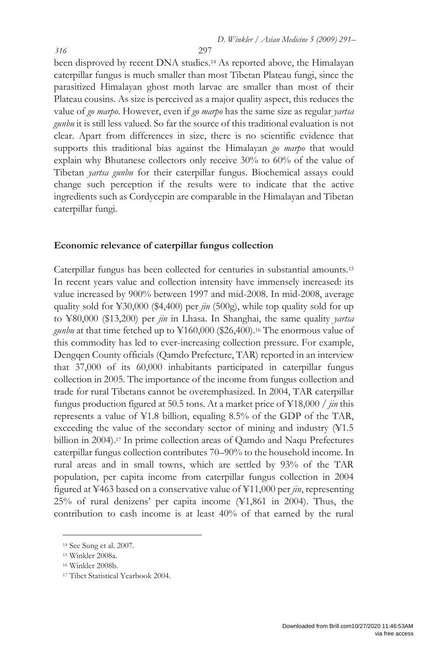been disproved by recent DNA studies.<sup>14</sup> As reported above, the Himalayan caterpillar fungus is much smaller than most Tibetan Plateau fungi, since the parasitized Himalayan ghost moth larvae are smaller than most of their Plateau cousins. As size is perceived as a major quality aspect, this reduces the value of *go marpo*. However, even if *go marpo* has the same size as regular *yartsa gunbu* it is still less valued. So far the source of this traditional evaluation is not clear. Apart from differences in size, there is no scientific evidence that supports this traditional bias against the Himalayan *go marpo* that would explain why Bhutanese collectors only receive 30% to 60% of the value of Tibetan *yartsa gunbu* for their caterpillar fungus. Biochemical assays could change such perception if the results were to indicate that the active ingredients such as Cordycepin are comparable in the Himalayan and Tibetan caterpillar fungi.

#### **Economic relevance of caterpillar fungus collection**

Caterpillar fungus has been collected for centuries in substantial amounts.<sup>15</sup> In recent years value and collection intensity have immensely increased: its value increased by 900% between 1997 and mid-2008. In mid-2008, average quality sold for ¥30,000 (\$4,400) per *jin* (500g), while top quality sold for up to ¥80,000 (\$13,200) per *jin* in Lhasa. In Shanghai, the same quality *yartsa gunbu* at that time fetched up to ¥160,000 (\$26,400).<sup>16</sup> The enormous value of this commodity has led to ever-increasing collection pressure. For example, Dengqen County officials (Qamdo Prefecture, TAR) reported in an interview that 37,000 of its 60,000 inhabitants participated in caterpillar fungus collection in 2005. The importance of the income from fungus collection and trade for rural Tibetans cannot be overemphasized. In 2004, TAR caterpillar fungus production figured at 50.5 tons. At a market price of ¥18,000 / *jin* this represents a value of ¥1.8 billion, equaling 8.5% of the GDP of the TAR, exceeding the value of the secondary sector of mining and industry (¥1.5 billion in 2004).<sup>17</sup> In prime collection areas of Qamdo and Naqu Prefectures caterpillar fungus collection contributes 70–90% to the household income. In rural areas and in small towns, which are settled by 93% of the TAR population, per capita income from caterpillar fungus collection in 2004 figured at ¥463 based on a conservative value of ¥11,000 per *jin*, representing 25% of rural denizens' per capita income (¥1,861 in 2004). Thus, the contribution to cash income is at least 40% of that earned by the rural

<sup>14</sup> See Sung et al. 2007.

<sup>15</sup> Winkler 2008a.

<sup>16</sup> Winkler 2008b.

<sup>17</sup> Tibet Statistical Yearbook 2004.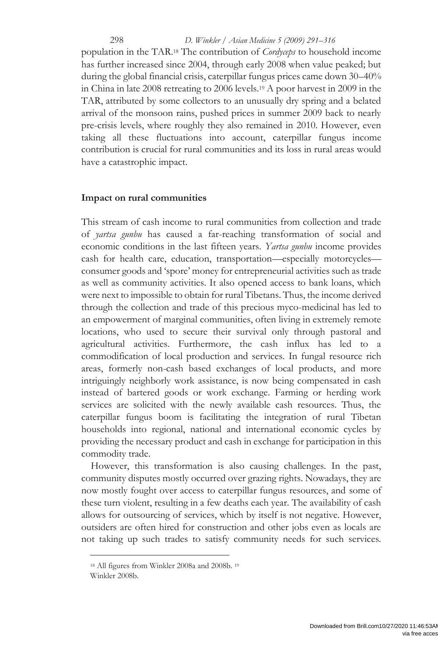298 *D. Winkler / Asian Medicine 5 (2009) 291–316* population in the TAR.<sup>18</sup> The contribution of *Cordyceps* to household income has further increased since 2004, through early 2008 when value peaked; but during the global financial crisis, caterpillar fungus prices came down 30–40% in China in late 2008 retreating to 2006 levels.<sup>19</sup> A poor harvest in 2009 in the TAR, attributed by some collectors to an unusually dry spring and a belated arrival of the monsoon rains, pushed prices in summer 2009 back to nearly pre-crisis levels, where roughly they also remained in 2010. However, even taking all these fluctuations into account, caterpillar fungus income contribution is crucial for rural communities and its loss in rural areas would have a catastrophic impact.

# **Impact on rural communities**

This stream of cash income to rural communities from collection and trade of *yartsa gunbu* has caused a far-reaching transformation of social and economic conditions in the last fifteen years. *Yartsa gunbu* income provides cash for health care, education, transportation—especially motorcycles consumer goods and 'spore' money for entrepreneurial activities such as trade as well as community activities. It also opened access to bank loans, which were next to impossible to obtain for rural Tibetans. Thus, the income derived through the collection and trade of this precious myco-medicinal has led to an empowerment of marginal communities, often living in extremely remote locations, who used to secure their survival only through pastoral and agricultural activities. Furthermore, the cash influx has led to a commodification of local production and services. In fungal resource rich areas, formerly non-cash based exchanges of local products, and more intriguingly neighborly work assistance, is now being compensated in cash instead of bartered goods or work exchange. Farming or herding work services are solicited with the newly available cash resources. Thus, the caterpillar fungus boom is facilitating the integration of rural Tibetan households into regional, national and international economic cycles by providing the necessary product and cash in exchange for participation in this commodity trade.

However, this transformation is also causing challenges. In the past, community disputes mostly occurred over grazing rights. Nowadays, they are now mostly fought over access to caterpillar fungus resources, and some of these turn violent, resulting in a few deaths each year. The availability of cash allows for outsourcing of services, which by itself is not negative. However, outsiders are often hired for construction and other jobs even as locals are not taking up such trades to satisfy community needs for such services.

<sup>18</sup> All figures from Winkler 2008a and 2008b. <sup>19</sup>

Winkler 2008b.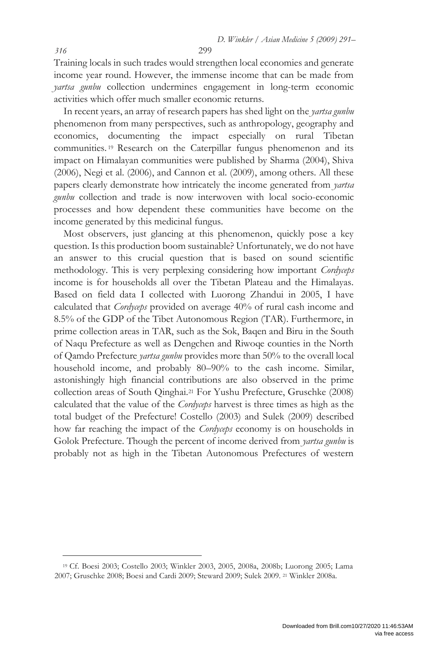Training locals in such trades would strengthen local economies and generate income year round. However, the immense income that can be made from *yartsa gunbu* collection undermines engagement in long-term economic activities which offer much smaller economic returns.

In recent years, an array of research papers has shed light on the *yartsa gunbu* phenomenon from many perspectives, such as anthropology, geography and economics, documenting the impact especially on rural Tibetan communities. <sup>19</sup> Research on the Caterpillar fungus phenomenon and its impact on Himalayan communities were published by Sharma (2004), Shiva (2006), Negi et al. (2006), and Cannon et al. (2009), among others. All these papers clearly demonstrate how intricately the income generated from *yartsa gunbu* collection and trade is now interwoven with local socio-economic processes and how dependent these communities have become on the income generated by this medicinal fungus.

Most observers, just glancing at this phenomenon, quickly pose a key question. Is this production boom sustainable? Unfortunately, we do not have an answer to this crucial question that is based on sound scientific methodology. This is very perplexing considering how important *Cordyceps* income is for households all over the Tibetan Plateau and the Himalayas. Based on field data I collected with Luorong Zhandui in 2005, I have calculated that *Cordyceps* provided on average 40% of rural cash income and 8.5% of the GDP of the Tibet Autonomous Region (TAR). Furthermore, in prime collection areas in TAR, such as the Sok, Baqen and Biru in the South of Naqu Prefecture as well as Dengchen and Riwoqe counties in the North of Qamdo Prefecture *yartsa gunbu* provides more than 50% to the overall local household income, and probably 80–90% to the cash income. Similar, astonishingly high financial contributions are also observed in the prime collection areas of South Qinghai.<sup>21</sup> For Yushu Prefecture, Gruschke (2008) calculated that the value of the *Cordyceps* harvest is three times as high as the total budget of the Prefecture! Costello (2003) and Sulek (2009) described how far reaching the impact of the *Cordyceps* economy is on households in Golok Prefecture. Though the percent of income derived from *yartsa gunbu* is probably not as high in the Tibetan Autonomous Prefectures of western

<sup>19</sup> Cf. Boesi 2003; Costello 2003; Winkler 2003, 2005, 2008a, 2008b; Luorong 2005; Lama 2007; Gruschke 2008; Boesi and Cardi 2009; Steward 2009; Sulek 2009. <sup>21</sup> Winkler 2008a.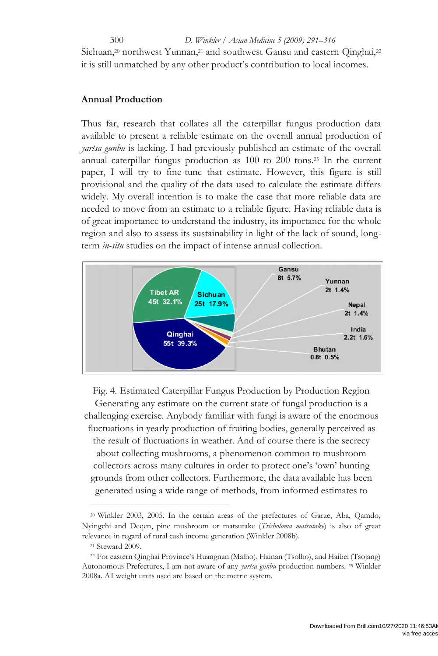300 *D. Winkler / Asian Medicine 5 (2009) 291–316* Sichuan,<sup>20</sup> northwest Yunnan,<sup>21</sup> and southwest Gansu and eastern Oinghai,<sup>22</sup> it is still unmatched by any other product's contribution to local incomes.

# **Annual Production**

Thus far, research that collates all the caterpillar fungus production data available to present a reliable estimate on the overall annual production of *yartsa gunbu* is lacking. I had previously published an estimate of the overall annual caterpillar fungus production as 100 to 200 tons.<sup>25</sup> In the current paper, I will try to fine-tune that estimate. However, this figure is still provisional and the quality of the data used to calculate the estimate differs widely. My overall intention is to make the case that more reliable data are needed to move from an estimate to a reliable figure. Having reliable data is of great importance to understand the industry, its importance for the whole region and also to assess its sustainability in light of the lack of sound, longterm *in-situ* studies on the impact of intense annual collection.



Fig. 4. Estimated Caterpillar Fungus Production by Production Region Generating any estimate on the current state of fungal production is a challenging exercise. Anybody familiar with fungi is aware of the enormous fluctuations in yearly production of fruiting bodies, generally perceived as the result of fluctuations in weather. And of course there is the secrecy about collecting mushrooms, a phenomenon common to mushroom collectors across many cultures in order to protect one's 'own' hunting grounds from other collectors. Furthermore, the data available has been generated using a wide range of methods, from informed estimates to

<sup>20</sup> Winkler 2003, 2005. In the certain areas of the prefectures of Garze, Aba, Qamdo, Nyingchi and Deqen, pine mushroom or matsutake (*Tricholoma matsutake*) is also of great relevance in regard of rural cash income generation (Winkler 2008b).

<sup>21</sup> Steward 2009.

<sup>22</sup> For eastern Qinghai Province's Huangnan (Malho), Hainan (Tsolho), and Haibei (Tsojang) Autonomous Prefectures, I am not aware of any *yartsa gunbu* production numbers. <sup>25</sup> Winkler 2008a. All weight units used are based on the metric system.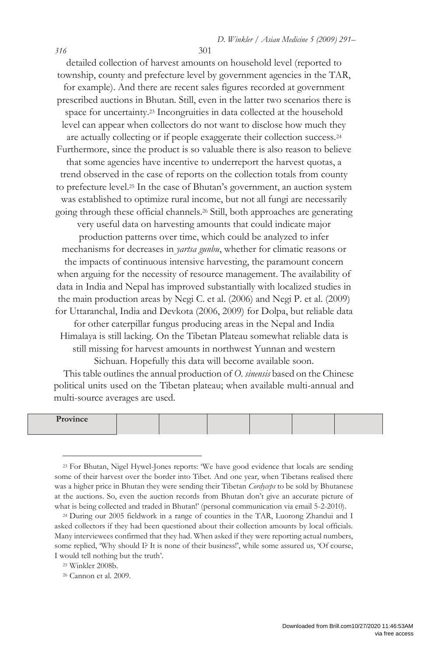detailed collection of harvest amounts on household level (reported to township, county and prefecture level by government agencies in the TAR, for example). And there are recent sales figures recorded at government prescribed auctions in Bhutan. Still, even in the latter two scenarios there is space for uncertainty.<sup>23</sup> Incongruities in data collected at the household level can appear when collectors do not want to disclose how much they are actually collecting or if people exaggerate their collection success.<sup>24</sup> Furthermore, since the product is so valuable there is also reason to believe that some agencies have incentive to underreport the harvest quotas, a trend observed in the case of reports on the collection totals from county to prefecture level.<sup>25</sup> In the case of Bhutan's government, an auction system was established to optimize rural income, but not all fungi are necessarily going through these official channels.<sup>26</sup> Still, both approaches are generating very useful data on harvesting amounts that could indicate major production patterns over time, which could be analyzed to infer mechanisms for decreases in *yartsa gunbu*, whether for climatic reasons or the impacts of continuous intensive harvesting, the paramount concern when arguing for the necessity of resource management. The availability of data in India and Nepal has improved substantially with localized studies in the main production areas by Negi C. et al. (2006) and Negi P. et al. (2009) for Uttaranchal, India and Devkota (2006, 2009) for Dolpa, but reliable data for other caterpillar fungus producing areas in the Nepal and India Himalaya is still lacking. On the Tibetan Plateau somewhat reliable data is still missing for harvest amounts in northwest Yunnan and western Sichuan. Hopefully this data will become available soon.

This table outlines the annual production of *O. sinensis* based on the Chinese political units used on the Tibetan plateau; when available multi-annual and multi-source averages are used.

<sup>23</sup> For Bhutan, Nigel Hywel-Jones reports: 'We have good evidence that locals are sending some of their harvest over the border into Tibet. And one year, when Tibetans realised there was a higher price in Bhutan they were sending their Tibetan *Cordyceps* to be sold by Bhutanese at the auctions. So, even the auction records from Bhutan don't give an accurate picture of what is being collected and traded in Bhutan!' (personal communication via email 5-2-2010).

<sup>24</sup> During our 2005 fieldwork in a range of counties in the TAR, Luorong Zhandui and I asked collectors if they had been questioned about their collection amounts by local officials. Many interviewees confirmed that they had. When asked if they were reporting actual numbers, some replied, 'Why should I? It is none of their business!', while some assured us, 'Of course, I would tell nothing but the truth'.

<sup>25</sup> Winkler 2008b.

<sup>26</sup> Cannon et al. 2009.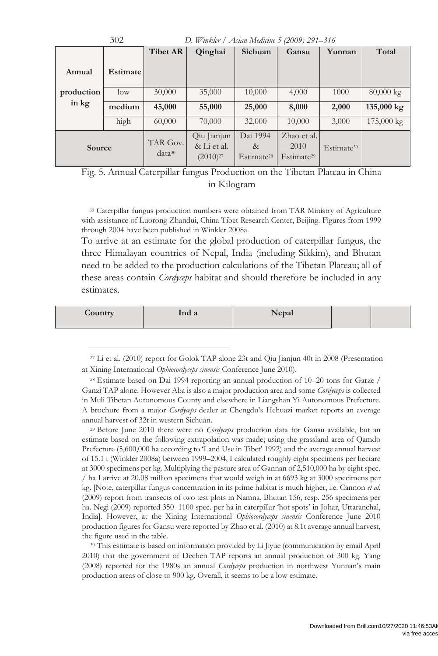| 302                           |          | D. Winkler / Asian Medicine 5 (2009) 291–316 |                                             |                                         |                                               |                        |                      |
|-------------------------------|----------|----------------------------------------------|---------------------------------------------|-----------------------------------------|-----------------------------------------------|------------------------|----------------------|
|                               |          | <b>Tibet AR</b>                              | Qinghai                                     | Sichuan                                 | Gansu                                         | Yunnan                 | Total                |
| Annual<br>production<br>in kg | Estimate |                                              |                                             |                                         |                                               |                        |                      |
|                               | low      | 30,000                                       | 35,000                                      | 10,000                                  | 4,000                                         | 1000                   | $80,000 \text{ kg}$  |
|                               | medium   | 45,000                                       | 55,000                                      | 25,000                                  | 8,000                                         | 2,000                  | 135,000 kg           |
|                               | high     | 60,000                                       | 70,000                                      | 32,000                                  | 10,000                                        | 3,000                  | $175,000 \text{ kg}$ |
| Source                        |          | TAR Gov.<br>$data^{30}$                      | Qiu Jianjun<br>& Li et al.<br>$(2010)^{27}$ | Dai 1994<br>&<br>Estimate <sup>28</sup> | Zhao et al.<br>2010<br>Estimate <sup>29</sup> | Estimate <sup>30</sup> |                      |

Fig. 5. Annual Caterpillar fungus Production on the Tibetan Plateau in China in Kilogram

<sup>30</sup> Caterpillar fungus production numbers were obtained from TAR Ministry of Agriculture with assistance of Luorong Zhandui, China Tibet Research Center, Beijing. Figures from 1999 through 2004 have been published in Winkler 2008a.

To arrive at an estimate for the global production of caterpillar fungus, the three Himalayan countries of Nepal, India (including Sikkim), and Bhutan need to be added to the production calculations of the Tibetan Plateau; all of these areas contain *Cordyceps* habitat and should therefore be included in any estimates.

| hd<br>$\alpha$<br>$-$ <i>oulliv</i><br>1111 | محوا<br>лаг<br>$\sim$ 1 $\sim$ 1 |  |  |
|---------------------------------------------|----------------------------------|--|--|
|---------------------------------------------|----------------------------------|--|--|

<sup>27</sup> Li et al. (2010) report for Golok TAP alone 23t and Qiu Jianjun 40t in 2008 (Presentation at Xining International *Ophiocordyceps sinensis* Conference June 2010).

<sup>29</sup> Before June 2010 there were no *Cordyceps* production data for Gansu available, but an estimate based on the following extrapolation was made; using the grassland area of Qamdo Prefecture (5,600,000 ha according to 'Land Use in Tibet' 1992) and the average annual harvest of 15.1 t (Winkler 2008a) between 1999–2004, I calculated roughly eight specimens per hectare at 3000 specimens per kg. Multiplying the pasture area of Gannan of 2,510,000 ha by eight spec. / ha I arrive at 20.08 million specimens that would weigh in at 6693 kg at 3000 specimens per kg. [Note, caterpillar fungus concentration in its prime habitat is much higher, i.e. Cannon *et al.* (2009) report from transects of two test plots in Namna, Bhutan 156, resp. 256 specimens per ha. Negi (2009) reported 350–1100 spec. per ha in caterpillar 'hot spots' in Johar, Uttaranchal, India]. However, at the Xining International *Ophiocordyceps sinensis* Conference June 2010 production figures for Gansu were reported by Zhao et al. (2010) at 8.1t average annual harvest, the figure used in the table.

<sup>30</sup> This estimate is based on information provided by Li Jiyue (communication by email April 2010) that the government of Dechen TAP reports an annual production of 300 kg. Yang (2008) reported for the 1980s an annual *Cordyceps* production in northwest Yunnan's main production areas of close to 900 kg. Overall, it seems to be a low estimate.

<sup>28</sup> Estimate based on Dai 1994 reporting an annual production of 10–20 tons for Garze / Ganzi TAP alone. However Aba is also a major production area and some *Cordyceps* is collected in Muli Tibetan Autonomous County and elsewhere in Liangshan Yi Autonomous Prefecture. A brochure from a major *Cordyceps* dealer at Chengdu's Hehuazi market reports an average annual harvest of 32t in western Sichuan.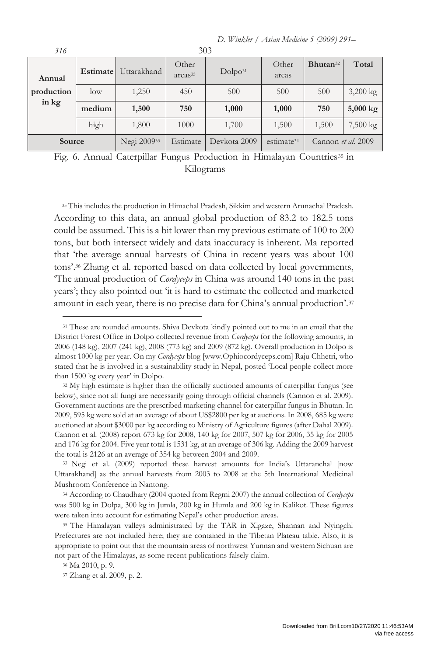| 316        | 303             |             |                              |                     |                        |                           |                    |  |
|------------|-----------------|-------------|------------------------------|---------------------|------------------------|---------------------------|--------------------|--|
| Annual     | Estimate        | Uttarakhand | Other<br>areas <sup>35</sup> | Dolpo <sup>31</sup> | Other<br>areas         | Bhutan <sup>32</sup>      | Total              |  |
| production | $_{\text{low}}$ | 1,250       | 450                          | 500                 | 500                    | 500                       | $3,200 \text{ kg}$ |  |
| in kg      | medium          | 1,500       | 750                          | 1,000               | 1,000                  | 750                       | $5,000 \text{ kg}$ |  |
|            | high            | 1,800       | 1000                         | 1,700               | 1,500                  | 1,500                     | $7,500 \text{ kg}$ |  |
| Source     |                 | Negi 200933 | Estimate                     | Devkota 2009        | estimate <sup>34</sup> | Cannon <i>et al.</i> 2009 |                    |  |

Fig. 6. Annual Caterpillar Fungus Production in Himalayan Countries<sup>35</sup> in Kilograms

<sup>35</sup> This includes the production in Himachal Pradesh, Sikkim and western Arunachal Pradesh. According to this data, an annual global production of 83.2 to 182.5 tons could be assumed. This is a bit lower than my previous estimate of 100 to 200 tons, but both intersect widely and data inaccuracy is inherent. Ma reported that 'the average annual harvests of China in recent years was about 100 tons'.<sup>36</sup> Zhang et al. reported based on data collected by local governments, 'The annual production of *Cordyceps* in China was around 140 tons in the past years'; they also pointed out 'it is hard to estimate the collected and marketed amount in each year, there is no precise data for China's annual production'.<sup>37</sup>

<sup>31</sup> These are rounded amounts. Shiva Devkota kindly pointed out to me in an email that the District Forest Office in Dolpo collected revenue from *Cordyceps* for the following amounts, in 2006 (148 kg), 2007 (241 kg), 2008 (773 kg) and 2009 (872 kg). Overall production in Dolpo is almost 1000 kg per year. On my *Cordyceps* blog [www.Ophiocordyceps.com] Raju Chhetri, who stated that he is involved in a sustainability study in Nepal, posted 'Local people collect more than 1500 kg every year' in Dolpo.

<sup>32</sup> My high estimate is higher than the officially auctioned amounts of caterpillar fungus (see below), since not all fungi are necessarily going through official channels (Cannon et al. 2009). Government auctions are the prescribed marketing channel for caterpillar fungus in Bhutan. In 2009, 595 kg were sold at an average of about US\$2800 per kg at auctions. In 2008, 685 kg were auctioned at about \$3000 per kg according to Ministry of Agriculture figures (after Dahal 2009). Cannon et al. (2008) report 673 kg for 2008, 140 kg for 2007, 507 kg for 2006, 35 kg for 2005 and 176 kg for 2004. Five year total is 1531 kg, at an average of 306 kg. Adding the 2009 harvest the total is 2126 at an average of 354 kg between 2004 and 2009.

<sup>33</sup> Negi et al. (2009) reported these harvest amounts for India's Uttaranchal [now Uttarakhand] as the annual harvests from 2003 to 2008 at the 5th International Medicinal Mushroom Conference in Nantong.

<sup>34</sup> According to Chaudhary (2004 quoted from Regmi 2007) the annual collection of *Cordyceps* was 500 kg in Dolpa, 300 kg in Jumla, 200 kg in Humla and 200 kg in Kalikot. These figures were taken into account for estimating Nepal's other production areas.

<sup>&</sup>lt;sup>35</sup> The Himalayan valleys administrated by the TAR in Xigaze, Shannan and Nyingchi Prefectures are not included here; they are contained in the Tibetan Plateau table. Also, it is appropriate to point out that the mountain areas of northwest Yunnan and western Sichuan are not part of the Himalayas, as some recent publications falsely claim.

<sup>36</sup> Ma 2010, p. 9.

<sup>37</sup> Zhang et al. 2009, p. 2.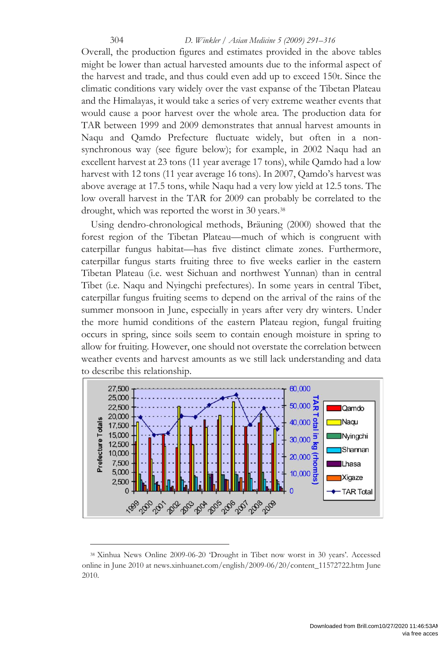Overall, the production figures and estimates provided in the above tables might be lower than actual harvested amounts due to the informal aspect of the harvest and trade, and thus could even add up to exceed 150t. Since the climatic conditions vary widely over the vast expanse of the Tibetan Plateau and the Himalayas, it would take a series of very extreme weather events that would cause a poor harvest over the whole area. The production data for TAR between 1999 and 2009 demonstrates that annual harvest amounts in Naqu and Qamdo Prefecture fluctuate widely, but often in a nonsynchronous way (see figure below); for example, in 2002 Naqu had an excellent harvest at 23 tons (11 year average 17 tons), while Qamdo had a low harvest with 12 tons (11 year average 16 tons). In 2007, Qamdo's harvest was above average at 17.5 tons, while Naqu had a very low yield at 12.5 tons. The low overall harvest in the TAR for 2009 can probably be correlated to the drought, which was reported the worst in 30 years.<sup>38</sup>

Using dendro-chronological methods, Bräuning (2000) showed that the forest region of the Tibetan Plateau—much of which is congruent with caterpillar fungus habitat—has five distinct climate zones. Furthermore, caterpillar fungus starts fruiting three to five weeks earlier in the eastern Tibetan Plateau (i.e. west Sichuan and northwest Yunnan) than in central Tibet (i.e. Naqu and Nyingchi prefectures). In some years in central Tibet, caterpillar fungus fruiting seems to depend on the arrival of the rains of the summer monsoon in June, especially in years after very dry winters. Under the more humid conditions of the eastern Plateau region, fungal fruiting occurs in spring, since soils seem to contain enough moisture in spring to allow for fruiting. However, one should not overstate the correlation between weather events and harvest amounts as we still lack understanding and data to describe this relationship.



<sup>38</sup> Xinhua News Online 2009-06-20 'Drought in Tibet now worst in 30 years'. Accessed online in June 2010 at news.xinhuanet.com/english/2009-06/20/content\_11572722.htm June 2010.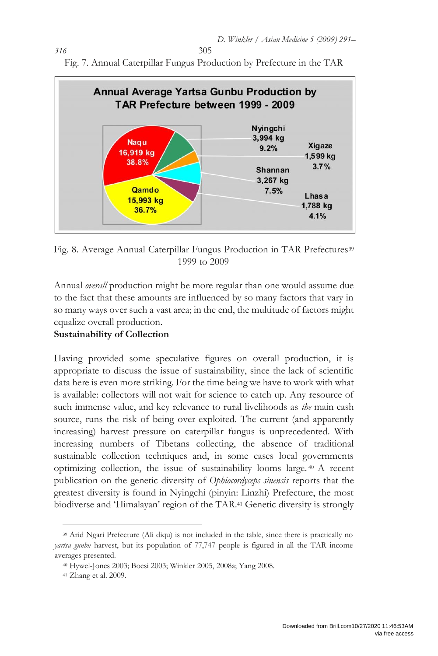Fig. 7. Annual Caterpillar Fungus Production by Prefecture in the TAR



Fig. 8. Average Annual Caterpillar Fungus Production in TAR Prefectures<sup>39</sup> 1999 to 2009

Annual *overall* production might be more regular than one would assume due to the fact that these amounts are influenced by so many factors that vary in so many ways over such a vast area; in the end, the multitude of factors might equalize overall production.

# **Sustainability of Collection**

Having provided some speculative figures on overall production, it is appropriate to discuss the issue of sustainability, since the lack of scientific data here is even more striking. For the time being we have to work with what is available: collectors will not wait for science to catch up. Any resource of such immense value, and key relevance to rural livelihoods as *the* main cash source, runs the risk of being over-exploited. The current (and apparently increasing) harvest pressure on caterpillar fungus is unprecedented. With increasing numbers of Tibetans collecting, the absence of traditional sustainable collection techniques and, in some cases local governments optimizing collection, the issue of sustainability looms large. <sup>40</sup> A recent publication on the genetic diversity of *Ophiocordyceps sinensis* reports that the greatest diversity is found in Nyingchi (pinyin: Linzhi) Prefecture, the most biodiverse and 'Himalayan' region of the TAR.<sup>41</sup> Genetic diversity is strongly

<sup>39</sup> Arid Ngari Prefecture (Ali diqu) is not included in the table, since there is practically no *yartsa gunbu* harvest, but its population of 77,747 people is figured in all the TAR income averages presented.

<sup>40</sup> Hywel-Jones 2003; Boesi 2003; Winkler 2005, 2008a; Yang 2008.

<sup>41</sup> Zhang et al. 2009.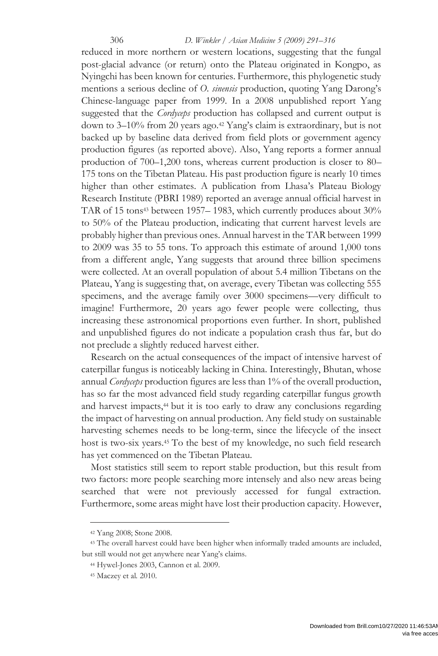reduced in more northern or western locations, suggesting that the fungal post-glacial advance (or return) onto the Plateau originated in Kongpo, as Nyingchi has been known for centuries. Furthermore, this phylogenetic study mentions a serious decline of *O. sinensis* production, quoting Yang Darong's Chinese-language paper from 1999. In a 2008 unpublished report Yang suggested that the *Cordyceps* production has collapsed and current output is down to 3–10% from 20 years ago.<sup>42</sup> Yang's claim is extraordinary, but is not backed up by baseline data derived from field plots or government agency production figures (as reported above). Also, Yang reports a former annual production of 700–1,200 tons, whereas current production is closer to 80– 175 tons on the Tibetan Plateau. His past production figure is nearly 10 times higher than other estimates. A publication from Lhasa's Plateau Biology Research Institute (PBRI 1989) reported an average annual official harvest in TAR of 15 tons<sup>43</sup> between 1957–1983, which currently produces about 30% to 50% of the Plateau production, indicating that current harvest levels are probably higher than previous ones. Annual harvest in the TAR between 1999 to 2009 was 35 to 55 tons. To approach this estimate of around 1,000 tons from a different angle, Yang suggests that around three billion specimens were collected. At an overall population of about 5.4 million Tibetans on the Plateau, Yang is suggesting that, on average, every Tibetan was collecting 555 specimens, and the average family over 3000 specimens—very difficult to imagine! Furthermore, 20 years ago fewer people were collecting, thus increasing these astronomical proportions even further. In short, published and unpublished figures do not indicate a population crash thus far, but do not preclude a slightly reduced harvest either.

Research on the actual consequences of the impact of intensive harvest of caterpillar fungus is noticeably lacking in China. Interestingly, Bhutan, whose annual *Cordyceps* production figures are less than 1% of the overall production, has so far the most advanced field study regarding caterpillar fungus growth and harvest impacts,<sup>44</sup> but it is too early to draw any conclusions regarding the impact of harvesting on annual production. Any field study on sustainable harvesting schemes needs to be long-term, since the lifecycle of the insect host is two-six years.<sup>45</sup> To the best of my knowledge, no such field research has yet commenced on the Tibetan Plateau.

Most statistics still seem to report stable production, but this result from two factors: more people searching more intensely and also new areas being searched that were not previously accessed for fungal extraction. Furthermore, some areas might have lost their production capacity. However,

<sup>42</sup> Yang 2008; Stone 2008.

<sup>43</sup> The overall harvest could have been higher when informally traded amounts are included, but still would not get anywhere near Yang's claims.

<sup>44</sup> Hywel-Jones 2003, Cannon et al. 2009.

<sup>45</sup> Maczey et al*.* 2010.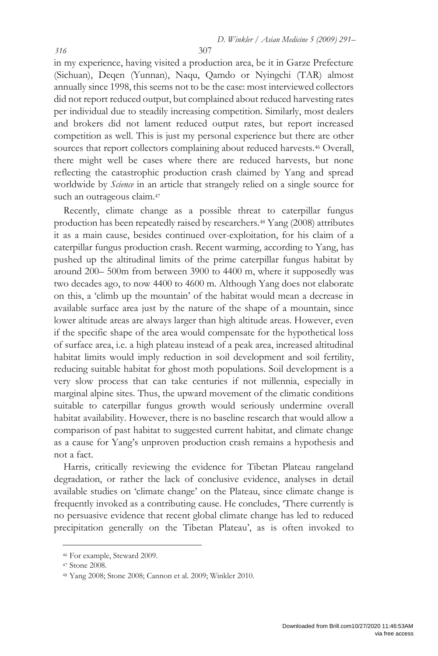in my experience, having visited a production area, be it in Garze Prefecture (Sichuan), Deqen (Yunnan), Naqu, Qamdo or Nyingchi (TAR) almost annually since 1998, this seems not to be the case: most interviewed collectors did not report reduced output, but complained about reduced harvesting rates per individual due to steadily increasing competition. Similarly, most dealers and brokers did not lament reduced output rates, but report increased competition as well. This is just my personal experience but there are other sources that report collectors complaining about reduced harvests.<sup>46</sup> Overall, there might well be cases where there are reduced harvests, but none reflecting the catastrophic production crash claimed by Yang and spread worldwide by *Science* in an article that strangely relied on a single source for such an outrageous claim.<sup>47</sup>

Recently, climate change as a possible threat to caterpillar fungus production has been repeatedly raised by researchers.<sup>48</sup> Yang (2008) attributes it as a main cause, besides continued over-exploitation, for his claim of a caterpillar fungus production crash. Recent warming, according to Yang, has pushed up the altitudinal limits of the prime caterpillar fungus habitat by around 200– 500m from between 3900 to 4400 m, where it supposedly was two decades ago, to now 4400 to 4600 m. Although Yang does not elaborate on this, a 'climb up the mountain' of the habitat would mean a decrease in available surface area just by the nature of the shape of a mountain, since lower altitude areas are always larger than high altitude areas. However, even if the specific shape of the area would compensate for the hypothetical loss of surface area, i.e. a high plateau instead of a peak area, increased altitudinal habitat limits would imply reduction in soil development and soil fertility, reducing suitable habitat for ghost moth populations. Soil development is a very slow process that can take centuries if not millennia, especially in marginal alpine sites. Thus, the upward movement of the climatic conditions suitable to caterpillar fungus growth would seriously undermine overall habitat availability. However, there is no baseline research that would allow a comparison of past habitat to suggested current habitat, and climate change as a cause for Yang's unproven production crash remains a hypothesis and not a fact.

Harris, critically reviewing the evidence for Tibetan Plateau rangeland degradation, or rather the lack of conclusive evidence, analyses in detail available studies on 'climate change' on the Plateau, since climate change is frequently invoked as a contributing cause. He concludes, 'There currently is no persuasive evidence that recent global climate change has led to reduced precipitation generally on the Tibetan Plateau', as is often invoked to

<sup>46</sup> For example, Steward 2009.

<sup>47</sup> Stone 2008.

<sup>48</sup> Yang 2008; Stone 2008; Cannon et al. 2009; Winkler 2010.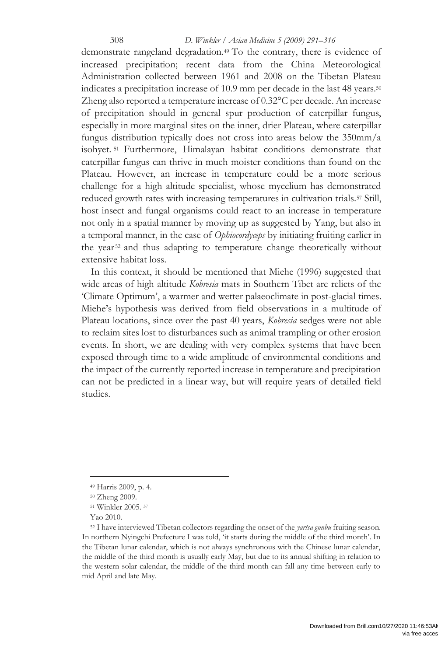demonstrate rangeland degradation.<sup>49</sup> To the contrary, there is evidence of increased precipitation; recent data from the China Meteorological Administration collected between 1961 and 2008 on the Tibetan Plateau indicates a precipitation increase of 10.9 mm per decade in the last 48 years.<sup>50</sup> Zheng also reported a temperature increase of 0.32°C per decade. An increase of precipitation should in general spur production of caterpillar fungus, especially in more marginal sites on the inner, drier Plateau, where caterpillar fungus distribution typically does not cross into areas below the 350mm/a isohyet. <sup>51</sup> Furthermore, Himalayan habitat conditions demonstrate that caterpillar fungus can thrive in much moister conditions than found on the Plateau. However, an increase in temperature could be a more serious challenge for a high altitude specialist, whose mycelium has demonstrated reduced growth rates with increasing temperatures in cultivation trials.<sup>57</sup> Still, host insect and fungal organisms could react to an increase in temperature not only in a spatial manner by moving up as suggested by Yang, but also in a temporal manner, in the case of *Ophiocordyceps* by initiating fruiting earlier in the year <sup>52</sup> and thus adapting to temperature change theoretically without extensive habitat loss.

In this context, it should be mentioned that Miehe (1996) suggested that wide areas of high altitude *Kobresia* mats in Southern Tibet are relicts of the 'Climate Optimum', a warmer and wetter palaeoclimate in post-glacial times. Miehe's hypothesis was derived from field observations in a multitude of Plateau locations, since over the past 40 years, *Kobresia* sedges were not able to reclaim sites lost to disturbances such as animal trampling or other erosion events. In short, we are dealing with very complex systems that have been exposed through time to a wide amplitude of environmental conditions and the impact of the currently reported increase in temperature and precipitation can not be predicted in a linear way, but will require years of detailed field studies.

<sup>49</sup> Harris 2009, p. 4.

<sup>50</sup> Zheng 2009.

<sup>51</sup> Winkler 2005. <sup>57</sup>

Yao 2010.

<sup>52</sup> I have interviewed Tibetan collectors regarding the onset of the *yartsa gunbu* fruiting season. In northern Nyingchi Prefecture I was told, 'it starts during the middle of the third month'. In the Tibetan lunar calendar, which is not always synchronous with the Chinese lunar calendar, the middle of the third month is usually early May, but due to its annual shifting in relation to the western solar calendar, the middle of the third month can fall any time between early to mid April and late May.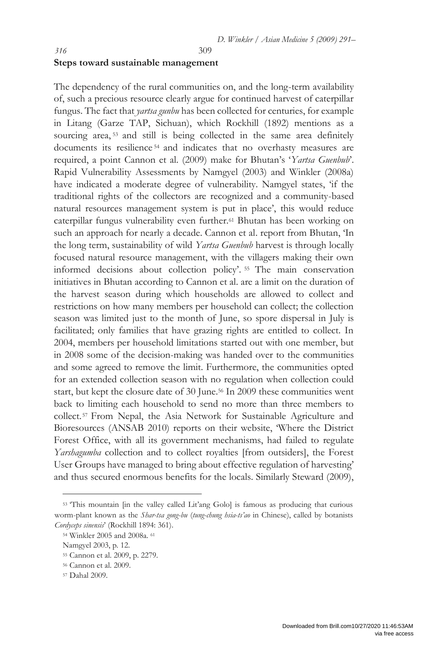# *316* 309 **Steps toward sustainable management**

The dependency of the rural communities on, and the long-term availability of, such a precious resource clearly argue for continued harvest of caterpillar fungus. The fact that *yartsa gunbu* has been collected for centuries, for example in Litang (Garze TAP, Sichuan), which Rockhill (1892) mentions as a sourcing area,<sup>53</sup> and still is being collected in the same area definitely documents its resilience <sup>54</sup> and indicates that no overhasty measures are required, a point Cannon et al. (2009) make for Bhutan's '*Yartsa Guenbub*'. Rapid Vulnerability Assessments by Namgyel (2003) and Winkler (2008a) have indicated a moderate degree of vulnerability. Namgyel states, 'if the traditional rights of the collectors are recognized and a community-based natural resources management system is put in place', this would reduce caterpillar fungus vulnerability even further.<sup>61</sup> Bhutan has been working on such an approach for nearly a decade. Cannon et al. report from Bhutan, 'In the long term, sustainability of wild *Yartsa Guenbub* harvest is through locally focused natural resource management, with the villagers making their own informed decisions about collection policy'. <sup>55</sup> The main conservation initiatives in Bhutan according to Cannon et al. are a limit on the duration of the harvest season during which households are allowed to collect and restrictions on how many members per household can collect; the collection season was limited just to the month of June, so spore dispersal in July is facilitated; only families that have grazing rights are entitled to collect. In 2004, members per household limitations started out with one member, but in 2008 some of the decision-making was handed over to the communities and some agreed to remove the limit. Furthermore, the communities opted for an extended collection season with no regulation when collection could start, but kept the closure date of 30 June.<sup>56</sup> In 2009 these communities went back to limiting each household to send no more than three members to collect. <sup>57</sup> From Nepal, the Asia Network for Sustainable Agriculture and Bioresources (ANSAB 2010) reports on their website, 'Where the District Forest Office, with all its government mechanisms, had failed to regulate *Yarshagumba* collection and to collect royalties [from outsiders], the Forest User Groups have managed to bring about effective regulation of harvesting' and thus secured enormous benefits for the locals. Similarly Steward (2009),

<sup>53</sup> 'This mountain [in the valley called Lit'ang Golo] is famous as producing that curious worm-plant known as the *Shar-tsa gong-bu* (*tung-chung hsia-ts'ao* in Chinese), called by botanists *Cordyceps sinensis*' (Rockhill 1894: 361).

<sup>54</sup> Winkler 2005 and 2008a. <sup>61</sup>

Namgyel 2003, p. 12.

<sup>55</sup> Cannon et al. 2009, p. 2279.

<sup>56</sup> Cannon et al. 2009.

<sup>57</sup> Dahal 2009.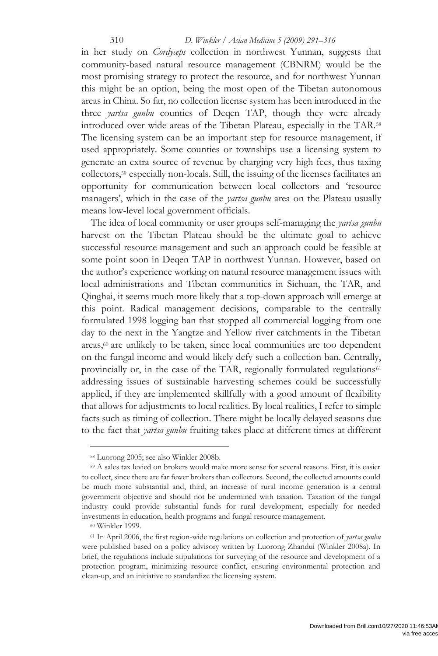310 *D. Winkler / Asian Medicine 5 (2009) 291–316*

in her study on *Cordyceps* collection in northwest Yunnan, suggests that community-based natural resource management (CBNRM) would be the most promising strategy to protect the resource, and for northwest Yunnan this might be an option, being the most open of the Tibetan autonomous areas in China. So far, no collection license system has been introduced in the three *yartsa gunbu* counties of Deqen TAP, though they were already introduced over wide areas of the Tibetan Plateau, especially in the TAR.<sup>58</sup> The licensing system can be an important step for resource management, if used appropriately. Some counties or townships use a licensing system to generate an extra source of revenue by charging very high fees, thus taxing collectors,<sup>59</sup> especially non-locals. Still, the issuing of the licenses facilitates an opportunity for communication between local collectors and 'resource managers', which in the case of the *yartsa gunbu* area on the Plateau usually means low-level local government officials.

The idea of local community or user groups self-managing the *yartsa gunbu*  harvest on the Tibetan Plateau should be the ultimate goal to achieve successful resource management and such an approach could be feasible at some point soon in Deqen TAP in northwest Yunnan. However, based on the author's experience working on natural resource management issues with local administrations and Tibetan communities in Sichuan, the TAR, and Qinghai, it seems much more likely that a top-down approach will emerge at this point. Radical management decisions, comparable to the centrally formulated 1998 logging ban that stopped all commercial logging from one day to the next in the Yangtze and Yellow river catchments in the Tibetan areas,<sup>60</sup> are unlikely to be taken, since local communities are too dependent on the fungal income and would likely defy such a collection ban. Centrally, provincially or, in the case of the TAR, regionally formulated regulations<sup>61</sup> addressing issues of sustainable harvesting schemes could be successfully applied, if they are implemented skillfully with a good amount of flexibility that allows for adjustments to local realities. By local realities, I refer to simple facts such as timing of collection. There might be locally delayed seasons due to the fact that *yartsa gunbu* fruiting takes place at different times at different

<sup>58</sup> Luorong 2005; see also Winkler 2008b.

<sup>59</sup> A sales tax levied on brokers would make more sense for several reasons. First, it is easier to collect, since there are far fewer brokers than collectors. Second, the collected amounts could be much more substantial and, third, an increase of rural income generation is a central government objective and should not be undermined with taxation. Taxation of the fungal industry could provide substantial funds for rural development, especially for needed investments in education, health programs and fungal resource management.

<sup>60</sup> Winkler 1999.

<sup>61</sup> In April 2006, the first region-wide regulations on collection and protection of *yartsa gunbu* were published based on a policy advisory written by Luorong Zhandui (Winkler 2008a). In brief, the regulations include stipulations for surveying of the resource and development of a protection program, minimizing resource conflict, ensuring environmental protection and clean-up, and an initiative to standardize the licensing system.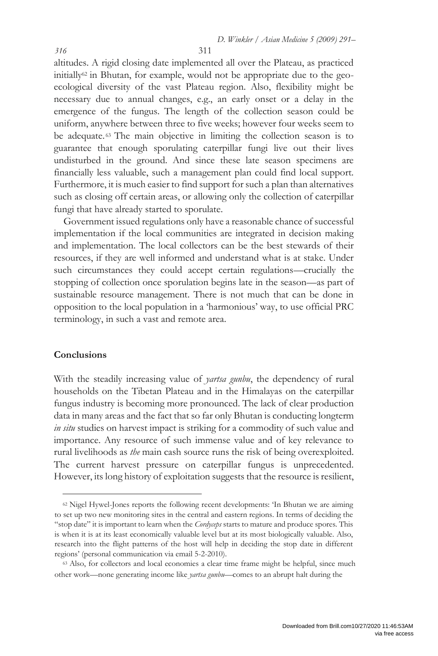*316* 311 altitudes. A rigid closing date implemented all over the Plateau, as practiced initially<sup>62</sup> in Bhutan, for example, would not be appropriate due to the geoecological diversity of the vast Plateau region. Also, flexibility might be necessary due to annual changes, e.g., an early onset or a delay in the emergence of the fungus. The length of the collection season could be uniform, anywhere between three to five weeks; however four weeks seem to be adequate. <sup>63</sup> The main objective in limiting the collection season is to guarantee that enough sporulating caterpillar fungi live out their lives undisturbed in the ground. And since these late season specimens are financially less valuable, such a management plan could find local support. Furthermore, it is much easier to find support for such a plan than alternatives such as closing off certain areas, or allowing only the collection of caterpillar fungi that have already started to sporulate.

Government issued regulations only have a reasonable chance of successful implementation if the local communities are integrated in decision making and implementation. The local collectors can be the best stewards of their resources, if they are well informed and understand what is at stake. Under such circumstances they could accept certain regulations—crucially the stopping of collection once sporulation begins late in the season—as part of sustainable resource management. There is not much that can be done in opposition to the local population in a 'harmonious' way, to use official PRC terminology, in such a vast and remote area.

#### **Conclusions**

With the steadily increasing value of *yartsa gunbu*, the dependency of rural households on the Tibetan Plateau and in the Himalayas on the caterpillar fungus industry is becoming more pronounced. The lack of clear production data in many areas and the fact that so far only Bhutan is conducting longterm *in situ* studies on harvest impact is striking for a commodity of such value and importance. Any resource of such immense value and of key relevance to rural livelihoods as *the* main cash source runs the risk of being overexploited. The current harvest pressure on caterpillar fungus is unprecedented. However, its long history of exploitation suggests that the resource is resilient,

 $62$  Nigel Hywel-Jones reports the following recent developments: 'In Bhutan we are aiming to set up two new monitoring sites in the central and eastern regions. In terms of deciding the "stop date" it is important to learn when the *Cordyceps* starts to mature and produce spores. This is when it is at its least economically valuable level but at its most biologically valuable. Also, research into the flight patterns of the host will help in deciding the stop date in different regions' (personal communication via email 5-2-2010).

<sup>&</sup>lt;sup>63</sup> Also, for collectors and local economies a clear time frame might be helpful, since much other work—none generating income like *yartsa gunbu*—comes to an abrupt halt during the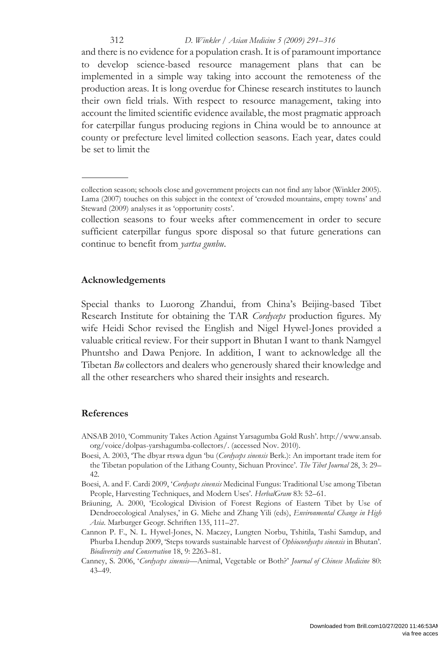312 *D. Winkler / Asian Medicine 5 (2009) 291–316*

and there is no evidence for a population crash. It is of paramount importance to develop science-based resource management plans that can be implemented in a simple way taking into account the remoteness of the production areas. It is long overdue for Chinese research institutes to launch their own field trials. With respect to resource management, taking into account the limited scientific evidence available, the most pragmatic approach for caterpillar fungus producing regions in China would be to announce at county or prefecture level limited collection seasons. Each year, dates could be set to limit the

# **Acknowledgements**

Special thanks to Luorong Zhandui, from China's Beijing-based Tibet Research Institute for obtaining the TAR *Cordyceps* production figures. My wife Heidi Schor revised the English and Nigel Hywel-Jones provided a valuable critical review. For their support in Bhutan I want to thank Namgyel Phuntsho and Dawa Penjore. In addition, I want to acknowledge all the Tibetan *Bu* collectors and dealers who generously shared their knowledge and all the other researchers who shared their insights and research.

#### **References**

- ANSAB 2010, 'Community Takes Action Against Yarsagumba Gold Rush'. http://www.ansab. org/voice/dolpas-yarshagumba-collectors/. (accessed Nov. 2010).
- Boesi, A. 2003, 'The dbyar rtswa dgun 'bu (*Cordyceps sinensis* Berk.): An important trade item for the Tibetan population of the Lithang County, Sichuan Province'. *The Tibet Journal* 28, 3: 29– 42.
- Boesi, A. and F. Cardi 2009, '*Cordyceps sinensis* Medicinal Fungus: Traditional Use among Tibetan People, Harvesting Techniques, and Modern Uses'. *HerbalGram* 83: 52–61.
- Bräuning, A. 2000, 'Ecological Division of Forest Regions of Eastern Tibet by Use of Dendroecological Analyses,' in G. Miehe and Zhang Yili (eds), *Environmental Change in High Asia*. Marburger Geogr. Schriften 135, 111–27.
- Cannon P. F., N. L. Hywel-Jones, N. Maczey, Lungten Norbu, Tshitila, Tashi Samdup, and Phurba Lhendup 2009, 'Steps towards sustainable harvest of *Ophiocordyceps sinensis* in Bhutan'. *Biodiversity and Conservation* 18, 9: 2263–81.
- Canney, S. 2006, '*Cordyceps sinensis*—Animal, Vegetable or Both?' *Journal of Chinese Medicine* 80: 43–49.

collection season; schools close and government projects can not find any labor (Winkler 2005). Lama (2007) touches on this subject in the context of 'crowded mountains, empty towns' and Steward (2009) analyses it as 'opportunity costs'.

collection seasons to four weeks after commencement in order to secure sufficient caterpillar fungus spore disposal so that future generations can continue to benefit from *yartsa gunbu*.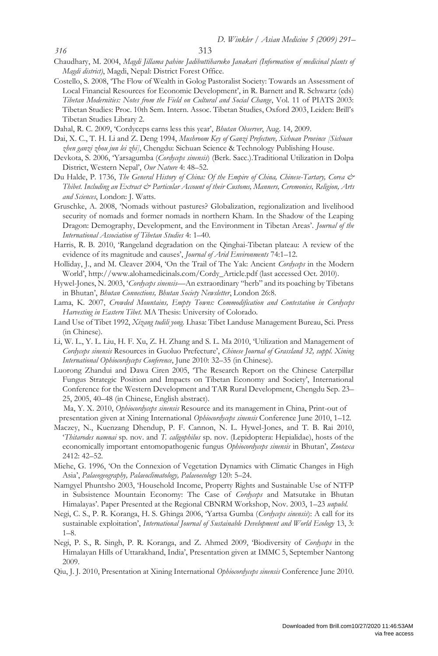- Chaudhary, M. 2004, *Magdi Jillama pahine Jadibuttiharuko Janakari (Information of medicinal plants of Magdi district)*, Magdi, Nepal: District Forest Office.
- Costello, S. 2008, 'The Flow of Wealth in Golog Pastoralist Society: Towards an Assessment of Local Financial Resources for Economic Development', in R. Barnett and R. Schwartz (eds) *Tibetan Modernities: Notes from the Field on Cultural and Social Change*, Vol. 11 of PIATS 2003: Tibetan Studies: Proc. 10th Sem. Intern. Assoc. Tibetan Studies, Oxford 2003, Leiden: Brill's Tibetan Studies Library 2.
- Dahal, R. C. 2009, 'Cordyceps earns less this year', *Bhutan Observer*, Aug. 14, 2009.
- Dai, X. C., T. H. Li and Z. Deng 1994, *Mushroom Key of Ganzi Prefecture, Sichuan Province [Sichuan zhen ganzi zhou jun lei zhi]*, Chengdu: Sichuan Science & Technology Publishing House.
- Devkota, S. 2006, 'Yarsagumba (*Cordyceps sinensis*) (Berk. Sacc.).Traditional Utilization in Dolpa District, Western Nepal', *Our Nature* 4: 48–52.
- Du Halde, P. 1736, *The General History of China: Of the Empire of China, Chinese-Tartary, Corea & Thibet. Including an Extract & Particular Account of their Customs, Manners, Ceremonies, Religion, Arts and Sciences*, London: J. Watts.
- Gruschke, A. 2008, 'Nomads without pastures? Globalization, regionalization and livelihood security of nomads and former nomads in northern Kham. In the Shadow of the Leaping Dragon: Demography, Development, and the Environment in Tibetan Areas'. *Journal of the International Association of Tibetan Studies* 4: 1–40.
- Harris, R. B. 2010, 'Rangeland degradation on the Qinghai-Tibetan plateau: A review of the evidence of its magnitude and causes', *Journal of Arid Environments* 74:1–12.
- Holliday, J., and M. Cleaver 2004, 'On the Trail of The Yak: Ancient *Cordyceps* in the Modern World', http://www.alohamedicinals.com/Cordy\_Article.pdf (last accessed Oct. 2010).
- Hywel-Jones, N. 2003, '*Cordyceps sinensis*—An extraordinary "herb" and its poaching by Tibetans in Bhutan', *Bhutan Connections, Bhutan Society Newsletter*, London 26:8.
- Lama, K. 2007, *Crowded Mountains, Empty Towns: Commodification and Contestation in Cordyceps Harvesting in Eastern Tibet*. MA Thesis: University of Colorado.
- Land Use of Tibet 1992, *Xizang tudili yong.* Lhasa: Tibet Landuse Management Bureau, Sci. Press (in Chinese).
- Li, W. L., Y. L. Liu, H. F. Xu, Z. H. Zhang and S. L. Ma 2010, 'Utilization and Management of *Cordyceps sinensis* Resources in Guoluo Prefecture', *Chinese Journal of Grassland 32, suppl. Xining International Ophiocordyceps Conference*, June 2010: 32–35 (in Chinese).
- Luorong Zhandui and Dawa Ciren 2005, 'The Research Report on the Chinese Caterpillar Fungus Strategic Position and Impacts on Tibetan Economy and Society', International Conference for the Western Development and TAR Rural Development, Chengdu Sep. 23– 25, 2005, 40–48 (in Chinese, English abstract).
- Ma, Y. X. 2010, *Ophiocordyceps sinensis* Resource and its management in China, Print-out of presentation given at Xining International *Ophiocordyceps sinensis* Conference June 2010, 1–12.
- Maczey, N., Kuenzang Dhendup, P. F. Cannon, N. L. Hywel-Jones, and T. B. Rai 2010, '*Thitarodes namnai* sp. nov. and *T. caligophilus* sp. nov. (Lepidoptera: Hepialidae), hosts of the economically important entomopathogenic fungus *Ophiocordyceps sinensis* in Bhutan', *Zootaxa* 2412: 42–52.
- Miehe, G. 1996, 'On the Connexion of Vegetation Dynamics with Climatic Changes in High Asia', *Palaeogeography, Palaeoclimatology, Palaeoecology* 120: 5–24.
- Namgyel Phuntsho 2003, 'Household Income, Property Rights and Sustainable Use of NTFP in Subsistence Mountain Economy: The Case of *Cordyceps* and Matsutake in Bhutan Himalayas'. Paper Presented at the Regional CBNRM Workshop, Nov. 2003, 1–23 *unpubl*.
- Negi, C. S., P. R. Koranga, H. S. Ghinga 2006, 'Yartsa Gumba (*Cordyceps sinensis*): A call for its sustainable exploitation', *International Journal of Sustainable Development and World Ecology* 13, 3: 1–8.
- Negi, P. S., R. Singh, P. R. Koranga, and Z. Ahmed 2009, 'Biodiversity of *Cordyceps* in the Himalayan Hills of Uttarakhand, India', Presentation given at IMMC 5, September Nantong 2009.
- Qiu, J. J. 2010, Presentation at Xining International *Ophiocordyceps sinensis* Conference June 2010.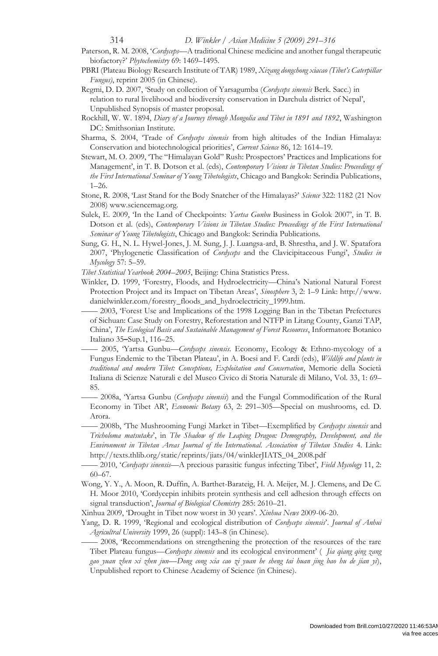314 *D. Winkler / Asian Medicine 5 (2009) 291–316*

- Paterson, R. M. 2008, '*Cordyceps*—A traditional Chinese medicine and another fungal therapeutic biofactory?' *Phytochemistry* 69: 1469–1495.
- PBRI (Plateau Biology Research Institute of TAR) 1989, *Xizang dongchong xiacao (Tibet's Caterpillar Fungus)*, reprint 2005 (in Chinese).
- Regmi, D. D. 2007, 'Study on collection of Yarsagumba (*Cordyceps sinensis* Berk*.* Sacc.) in relation to rural livelihood and biodiversity conservation in Darchula district of Nepal', Unpublished Synopsis of master proposal.
- Rockhill, W. W. 1894, *Diary of a Journey through Mongolia and Tibet in 1891 and 1892*, Washington DC: Smithsonian Institute.
- Sharma, S. 2004, 'Trade of *Cordyceps sinensis* from high altitudes of the Indian Himalaya: Conservation and biotechnological priorities', *Current Science* 86, 12: 1614–19.
- Stewart, M. O. 2009, 'The "Himalayan Gold" Rush: Prospectors' Practices and Implications for Management', in T. B. Dotson et al. (eds), *Contemporary Visions in Tibetan Studies: Proceedings of the First International Seminar of Young Tibetologists*, Chicago and Bangkok: Serindia Publications, 1–26.
- Stone, R. 2008, 'Last Stand for the Body Snatcher of the Himalayas?' *Science* 322: 1182 (21 Nov 2008) www.sciencemag.org.
- Sulek, E. 2009, 'In the Land of Checkpoints: *Yartsa Gunbu* Business in Golok 2007', in T. B. Dotson et al. (eds), *Contemporary Visions in Tibetan Studies: Proceedings of the First International Seminar of Young Tibetologists*, Chicago and Bangkok: Serindia Publications.
- Sung, G. H., N. L. Hywel-Jones, J. M. Sung, J. J. Luangsa-ard, B. Shrestha, and J. W. Spatafora 2007, 'Phylogenetic Classification of *Cordyceps* and the Clavicipitaceous Fungi', *Studies in Mycology* 57: 5–59.
- *Tibet Statistical Yearbook 2004–2005*, Beijing: China Statistics Press.
- Winkler, D. 1999, 'Forestry, Floods, and Hydroelectricity—China's National Natural Forest Protection Project and its Impact on Tibetan Areas', *Sinosphere* 3, 2: 1–9 Link: http://www. danielwinkler.com/forestry\_floods\_and\_hydroelectricity\_1999.htm.
	- —— 2003, 'Forest Use and Implications of the 1998 Logging Ban in the Tibetan Prefectures of Sichuan: Case Study on Forestry, Reforestation and NTFP in Litang County, Ganzi TAP, China', *The Ecological Basis and Sustainable Management of Forest Resources*, Informatore Botanico Italiano 35**–**Sup.1, 116–25.
	- —— 2005, 'Yartsa Gunbu—*Cordyceps sinensis*. Economy, Ecology & Ethno-mycology of a Fungus Endemic to the Tibetan Plateau', in A. Boesi and F. Cardi (eds), *Wildlife and plants in traditional and modern Tibet: Conceptions, Exploitation and Conservation*, Memorie della Società Italiana di Scienze Naturali e del Museo Civico di Storia Naturale di Milano, Vol. 33, 1: 69– 85.
- —— 2008a, 'Yartsa Gunbu (*Cordyceps sinensis*) and the Fungal Commodification of the Rural Economy in Tibet AR', *Economic Botany* 63, 2: 291–305—Special on mushrooms, ed. D. Arora.
- —— 2008b, 'The Mushrooming Fungi Market in Tibet—Exemplified by *Cordyceps sinensis* and *Tricholoma matsutake*', in *The Shadow of the Leaping Dragon: Demography, Development, and the Environment in Tibetan Areas Journal of the International. Association of Tibetan Studies* 4. Link: http://texts.thlib.org/static/reprints/jiats/04/winklerJIATS\_04\_2008.pdf
- —— 2010, '*Cordyceps sinensis*—A precious parasitic fungus infecting Tibet', *Field Mycology* 11, 2: 60–67.
- Wong, Y. Y., A. Moon, R. Duffin, A. Barthet-Barateig, H. A. Meijer, M. J. Clemens, and De C. H. Moor 2010, 'Cordycepin inhibits protein synthesis and cell adhesion through effects on signal transduction', *Journal of Biological Chemistry* 285: 2610–21.
- Xinhua 2009, 'Drought in Tibet now worst in 30 years'. *Xinhua News* 2009-06-20.
- Yang, D. R. 1999, 'Regional and ecological distribution of *Cordyceps sinensis*'. *Journal of Anhui Agricultral University* 1999, 26 (suppl): 143–8 (in Chinese).
	- —— 2008, 'Recommendations on strengthening the protection of the resources of the rare Tibet Plateau fungus—*Cordyceps sinensis* and its ecological environment' ( *Jia qiang qing zang gao yuan zhen xi zhen jun—Dong cong xia cao zi yuan he sheng tai huan jing bao hu de jian yi*), Unpublished report to Chinese Academy of Science (in Chinese).